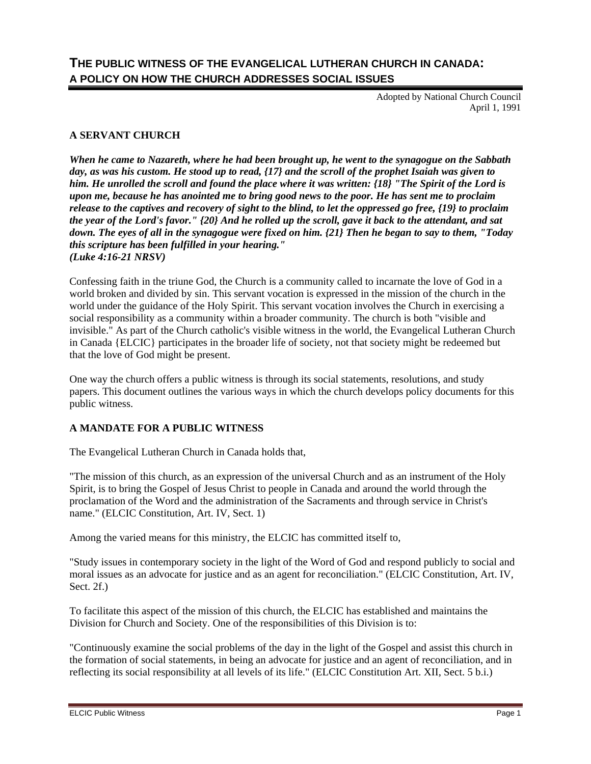# **THE PUBLIC WITNESS OF THE EVANGELICAL LUTHERAN CHURCH IN CANADA: A POLICY ON HOW THE CHURCH ADDRESSES SOCIAL ISSUES**

Adopted by National Church Council April 1, 1991

#### **A SERVANT CHURCH**

*When he came to Nazareth, where he had been brought up, he went to the synagogue on the Sabbath day, as was his custom. He stood up to read, {17} and the scroll of the prophet Isaiah was given to him. He unrolled the scroll and found the place where it was written: {18} "The Spirit of the Lord is upon me, because he has anointed me to bring good news to the poor. He has sent me to proclaim release to the captives and recovery of sight to the blind, to let the oppressed go free, {19} to proclaim the year of the Lord's favor." {20} And he rolled up the scroll, gave it back to the attendant, and sat down. The eyes of all in the synagogue were fixed on him. {21} Then he began to say to them, "Today this scripture has been fulfilled in your hearing." (Luke 4:16-21 NRSV)* 

Confessing faith in the triune God, the Church is a community called to incarnate the love of God in a world broken and divided by sin. This servant vocation is expressed in the mission of the church in the world under the guidance of the Holy Spirit. This servant vocation involves the Church in exercising a social responsibility as a community within a broader community. The church is both "visible and invisible." As part of the Church catholic's visible witness in the world, the Evangelical Lutheran Church in Canada {ELCIC} participates in the broader life of society, not that society might be redeemed but that the love of God might be present.

One way the church offers a public witness is through its social statements, resolutions, and study papers. This document outlines the various ways in which the church develops policy documents for this public witness.

#### **A MANDATE FOR A PUBLIC WITNESS**

The Evangelical Lutheran Church in Canada holds that,

"The mission of this church, as an expression of the universal Church and as an instrument of the Holy Spirit, is to bring the Gospel of Jesus Christ to people in Canada and around the world through the proclamation of the Word and the administration of the Sacraments and through service in Christ's name." (ELCIC Constitution, Art. IV, Sect. 1)

Among the varied means for this ministry, the ELCIC has committed itself to,

"Study issues in contemporary society in the light of the Word of God and respond publicly to social and moral issues as an advocate for justice and as an agent for reconciliation." (ELCIC Constitution, Art. IV, Sect. 2f.)

To facilitate this aspect of the mission of this church, the ELCIC has established and maintains the Division for Church and Society. One of the responsibilities of this Division is to:

"Continuously examine the social problems of the day in the light of the Gospel and assist this church in the formation of social statements, in being an advocate for justice and an agent of reconciliation, and in reflecting its social responsibility at all levels of its life." (ELCIC Constitution Art. XII, Sect. 5 b.i.)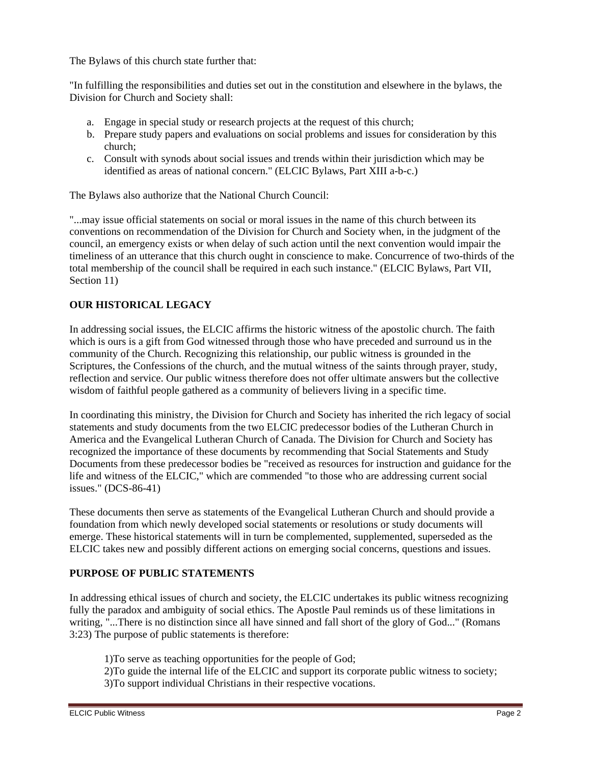The Bylaws of this church state further that:

"In fulfilling the responsibilities and duties set out in the constitution and elsewhere in the bylaws, the Division for Church and Society shall:

- a. Engage in special study or research projects at the request of this church;
- b. Prepare study papers and evaluations on social problems and issues for consideration by this church;
- c. Consult with synods about social issues and trends within their jurisdiction which may be identified as areas of national concern." (ELCIC Bylaws, Part XIII a-b-c.)

The Bylaws also authorize that the National Church Council:

"...may issue official statements on social or moral issues in the name of this church between its conventions on recommendation of the Division for Church and Society when, in the judgment of the council, an emergency exists or when delay of such action until the next convention would impair the timeliness of an utterance that this church ought in conscience to make. Concurrence of two-thirds of the total membership of the council shall be required in each such instance." (ELCIC Bylaws, Part VII, Section 11)

# **OUR HISTORICAL LEGACY**

In addressing social issues, the ELCIC affirms the historic witness of the apostolic church. The faith which is ours is a gift from God witnessed through those who have preceded and surround us in the community of the Church. Recognizing this relationship, our public witness is grounded in the Scriptures, the Confessions of the church, and the mutual witness of the saints through prayer, study, reflection and service. Our public witness therefore does not offer ultimate answers but the collective wisdom of faithful people gathered as a community of believers living in a specific time.

In coordinating this ministry, the Division for Church and Society has inherited the rich legacy of social statements and study documents from the two ELCIC predecessor bodies of the Lutheran Church in America and the Evangelical Lutheran Church of Canada. The Division for Church and Society has recognized the importance of these documents by recommending that Social Statements and Study Documents from these predecessor bodies be "received as resources for instruction and guidance for the life and witness of the ELCIC," which are commended "to those who are addressing current social issues." (DCS-86-41)

These documents then serve as statements of the Evangelical Lutheran Church and should provide a foundation from which newly developed social statements or resolutions or study documents will emerge. These historical statements will in turn be complemented, supplemented, superseded as the ELCIC takes new and possibly different actions on emerging social concerns, questions and issues.

#### **PURPOSE OF PUBLIC STATEMENTS**

In addressing ethical issues of church and society, the ELCIC undertakes its public witness recognizing fully the paradox and ambiguity of social ethics. The Apostle Paul reminds us of these limitations in writing, "...There is no distinction since all have sinned and fall short of the glory of God..." (Romans 3:23) The purpose of public statements is therefore:

- 1)To serve as teaching opportunities for the people of God;
- 2)To guide the internal life of the ELCIC and support its corporate public witness to society;
- 3)To support individual Christians in their respective vocations.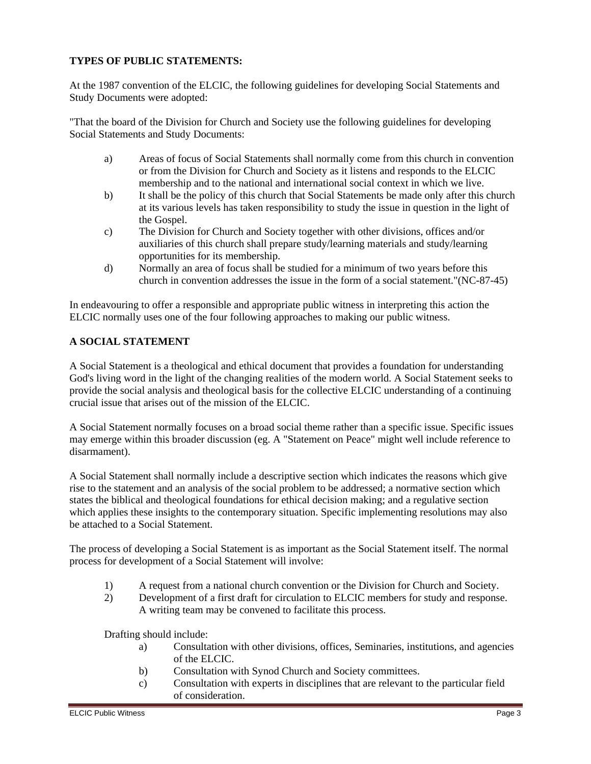# **TYPES OF PUBLIC STATEMENTS:**

At the 1987 convention of the ELCIC, the following guidelines for developing Social Statements and Study Documents were adopted:

"That the board of the Division for Church and Society use the following guidelines for developing Social Statements and Study Documents:

- a) Areas of focus of Social Statements shall normally come from this church in convention or from the Division for Church and Society as it listens and responds to the ELCIC membership and to the national and international social context in which we live.
- b) It shall be the policy of this church that Social Statements be made only after this church at its various levels has taken responsibility to study the issue in question in the light of the Gospel.
- c) The Division for Church and Society together with other divisions, offices and/or auxiliaries of this church shall prepare study/learning materials and study/learning opportunities for its membership.
- d) Normally an area of focus shall be studied for a minimum of two years before this church in convention addresses the issue in the form of a social statement."(NC-87-45)

In endeavouring to offer a responsible and appropriate public witness in interpreting this action the ELCIC normally uses one of the four following approaches to making our public witness.

# **A SOCIAL STATEMENT**

A Social Statement is a theological and ethical document that provides a foundation for understanding God's living word in the light of the changing realities of the modern world. A Social Statement seeks to provide the social analysis and theological basis for the collective ELCIC understanding of a continuing crucial issue that arises out of the mission of the ELCIC.

A Social Statement normally focuses on a broad social theme rather than a specific issue. Specific issues may emerge within this broader discussion (eg. A "Statement on Peace" might well include reference to disarmament).

A Social Statement shall normally include a descriptive section which indicates the reasons which give rise to the statement and an analysis of the social problem to be addressed; a normative section which states the biblical and theological foundations for ethical decision making; and a regulative section which applies these insights to the contemporary situation. Specific implementing resolutions may also be attached to a Social Statement.

The process of developing a Social Statement is as important as the Social Statement itself. The normal process for development of a Social Statement will involve:

- 1) A request from a national church convention or the Division for Church and Society.
- 2) Development of a first draft for circulation to ELCIC members for study and response. A writing team may be convened to facilitate this process.

Drafting should include:

- a) Consultation with other divisions, offices, Seminaries, institutions, and agencies of the ELCIC.
- b) Consultation with Synod Church and Society committees.
- c) Consultation with experts in disciplines that are relevant to the particular field of consideration.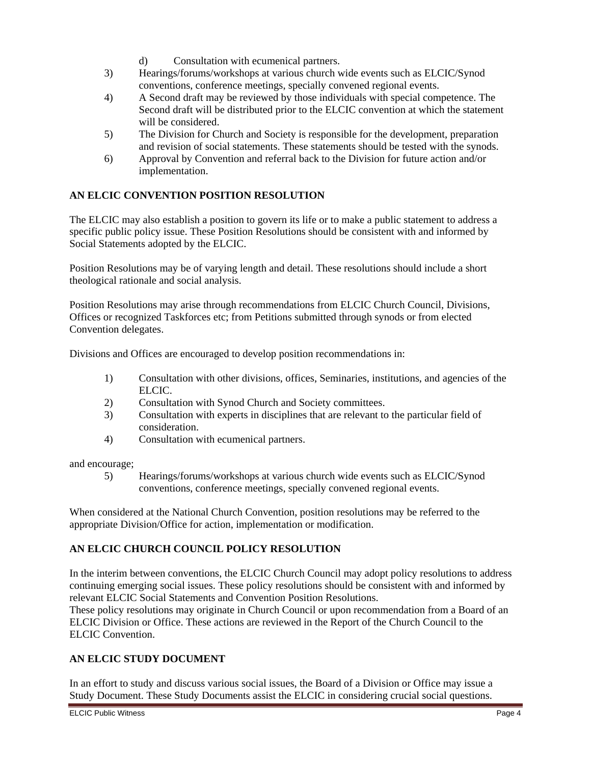- d) Consultation with ecumenical partners.
- 3) Hearings/forums/workshops at various church wide events such as ELCIC/Synod conventions, conference meetings, specially convened regional events.
- 4) A Second draft may be reviewed by those individuals with special competence. The Second draft will be distributed prior to the ELCIC convention at which the statement will be considered.
- 5) The Division for Church and Society is responsible for the development, preparation and revision of social statements. These statements should be tested with the synods.
- 6) Approval by Convention and referral back to the Division for future action and/or implementation.

# **AN ELCIC CONVENTION POSITION RESOLUTION**

The ELCIC may also establish a position to govern its life or to make a public statement to address a specific public policy issue. These Position Resolutions should be consistent with and informed by Social Statements adopted by the ELCIC.

Position Resolutions may be of varying length and detail. These resolutions should include a short theological rationale and social analysis.

Position Resolutions may arise through recommendations from ELCIC Church Council, Divisions, Offices or recognized Taskforces etc; from Petitions submitted through synods or from elected Convention delegates.

Divisions and Offices are encouraged to develop position recommendations in:

- 1) Consultation with other divisions, offices, Seminaries, institutions, and agencies of the ELCIC.
- 2) Consultation with Synod Church and Society committees.
- 3) Consultation with experts in disciplines that are relevant to the particular field of consideration.
- 4) Consultation with ecumenical partners.

and encourage;

5) Hearings/forums/workshops at various church wide events such as ELCIC/Synod conventions, conference meetings, specially convened regional events.

When considered at the National Church Convention, position resolutions may be referred to the appropriate Division/Office for action, implementation or modification.

# **AN ELCIC CHURCH COUNCIL POLICY RESOLUTION**

In the interim between conventions, the ELCIC Church Council may adopt policy resolutions to address continuing emerging social issues. These policy resolutions should be consistent with and informed by relevant ELCIC Social Statements and Convention Position Resolutions.

These policy resolutions may originate in Church Council or upon recommendation from a Board of an ELCIC Division or Office. These actions are reviewed in the Report of the Church Council to the ELCIC Convention.

# **AN ELCIC STUDY DOCUMENT**

In an effort to study and discuss various social issues, the Board of a Division or Office may issue a Study Document. These Study Documents assist the ELCIC in considering crucial social questions.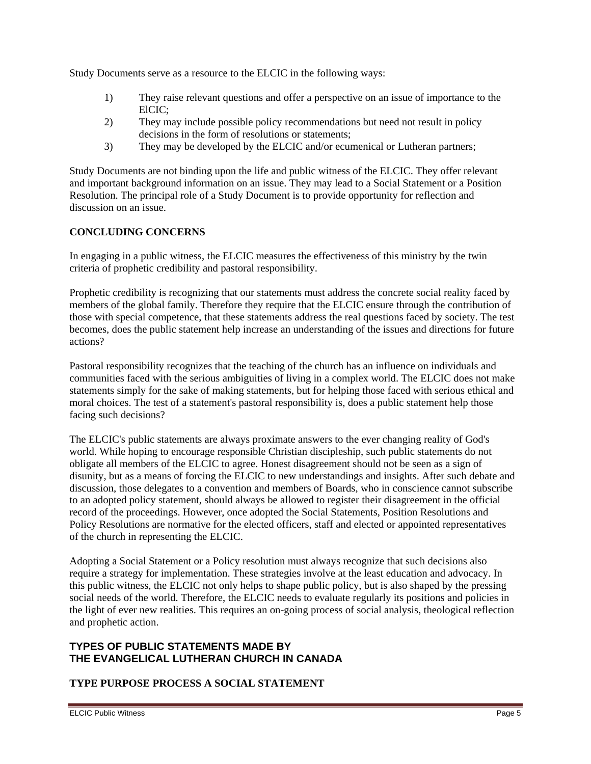Study Documents serve as a resource to the ELCIC in the following ways:

- 1) They raise relevant questions and offer a perspective on an issue of importance to the ElCIC;
- 2) They may include possible policy recommendations but need not result in policy decisions in the form of resolutions or statements;
- 3) They may be developed by the ELCIC and/or ecumenical or Lutheran partners;

Study Documents are not binding upon the life and public witness of the ELCIC. They offer relevant and important background information on an issue. They may lead to a Social Statement or a Position Resolution. The principal role of a Study Document is to provide opportunity for reflection and discussion on an issue.

#### **CONCLUDING CONCERNS**

In engaging in a public witness, the ELCIC measures the effectiveness of this ministry by the twin criteria of prophetic credibility and pastoral responsibility.

Prophetic credibility is recognizing that our statements must address the concrete social reality faced by members of the global family. Therefore they require that the ELCIC ensure through the contribution of those with special competence, that these statements address the real questions faced by society. The test becomes, does the public statement help increase an understanding of the issues and directions for future actions?

Pastoral responsibility recognizes that the teaching of the church has an influence on individuals and communities faced with the serious ambiguities of living in a complex world. The ELCIC does not make statements simply for the sake of making statements, but for helping those faced with serious ethical and moral choices. The test of a statement's pastoral responsibility is, does a public statement help those facing such decisions?

The ELCIC's public statements are always proximate answers to the ever changing reality of God's world. While hoping to encourage responsible Christian discipleship, such public statements do not obligate all members of the ELCIC to agree. Honest disagreement should not be seen as a sign of disunity, but as a means of forcing the ELCIC to new understandings and insights. After such debate and discussion, those delegates to a convention and members of Boards, who in conscience cannot subscribe to an adopted policy statement, should always be allowed to register their disagreement in the official record of the proceedings. However, once adopted the Social Statements, Position Resolutions and Policy Resolutions are normative for the elected officers, staff and elected or appointed representatives of the church in representing the ELCIC.

Adopting a Social Statement or a Policy resolution must always recognize that such decisions also require a strategy for implementation. These strategies involve at the least education and advocacy. In this public witness, the ELCIC not only helps to shape public policy, but is also shaped by the pressing social needs of the world. Therefore, the ELCIC needs to evaluate regularly its positions and policies in the light of ever new realities. This requires an on-going process of social analysis, theological reflection and prophetic action.

#### **TYPES OF PUBLIC STATEMENTS MADE BY THE EVANGELICAL LUTHERAN CHURCH IN CANADA**

#### **TYPE PURPOSE PROCESS A SOCIAL STATEMENT**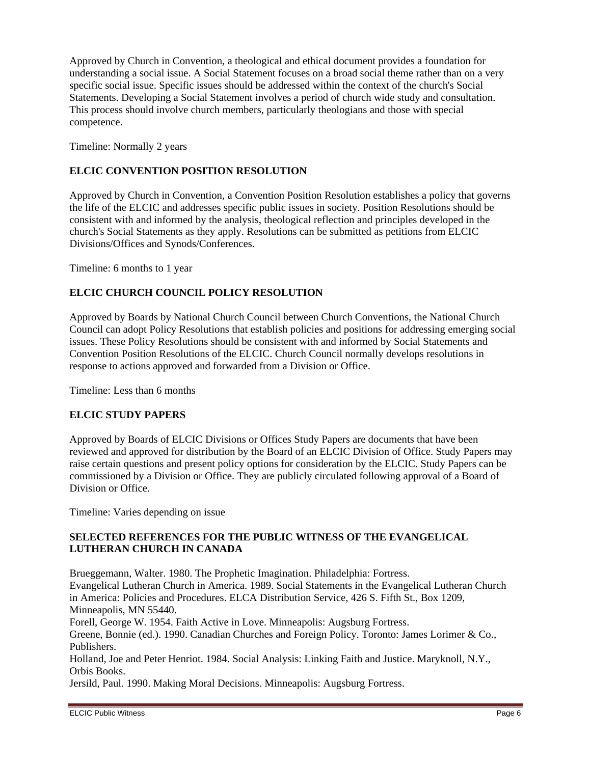Approved by Church in Convention, a theological and ethical document provides a foundation for understanding a social issue. A Social Statement focuses on a broad social theme rather than on a very specific social issue. Specific issues should be addressed within the context of the church's Social Statements. Developing a Social Statement involves a period of church wide study and consultation. This process should involve church members, particularly theologians and those with special competence.

Timeline: Normally 2 years

# **ELCIC CONVENTION POSITION RESOLUTION**

Approved by Church in Convention, a Convention Position Resolution establishes a policy that governs the life of the ELCIC and addresses specific public issues in society. Position Resolutions should be consistent with and informed by the analysis, theological reflection and principles developed in the church's Social Statements as they apply. Resolutions can be submitted as petitions from ELCIC Divisions/Offices and Synods/Conferences.

Timeline: 6 months to 1 year

#### **ELCIC CHURCH COUNCIL POLICY RESOLUTION**

Approved by Boards by National Church Council between Church Conventions, the National Church Council can adopt Policy Resolutions that establish policies and positions for addressing emerging social issues. These Policy Resolutions should be consistent with and informed by Social Statements and Convention Position Resolutions of the ELCIC. Church Council normally develops resolutions in response to actions approved and forwarded from a Division or Office.

Timeline: Less than 6 months

#### **ELCIC STUDY PAPERS**

Approved by Boards of ELCIC Divisions or Offices Study Papers are documents that have been reviewed and approved for distribution by the Board of an ELCIC Division of Office. Study Papers may raise certain questions and present policy options for consideration by the ELCIC. Study Papers can be commissioned by a Division or Office. They are publicly circulated following approval of a Board of Division or Office.

Timeline: Varies depending on issue

#### **SELECTED REFERENCES FOR THE PUBLIC WITNESS OF THE EVANGELICAL LUTHERAN CHURCH IN CANADA**

Brueggemann, Walter. 1980. The Prophetic Imagination. Philadelphia: Fortress. Evangelical Lutheran Church in America. 1989. Social Statements in the Evangelical Lutheran Church in America: Policies and Procedures. ELCA Distribution Service, 426 S. Fifth St., Box 1209, Minneapolis, MN 55440.

Forell, George W. 1954. Faith Active in Love. Minneapolis: Augsburg Fortress.

Greene, Bonnie (ed.). 1990. Canadian Churches and Foreign Policy. Toronto: James Lorimer & Co., Publishers.

Holland, Joe and Peter Henriot. 1984. Social Analysis: Linking Faith and Justice. Maryknoll, N.Y., Orbis Books.

Jersild, Paul. 1990. Making Moral Decisions. Minneapolis: Augsburg Fortress.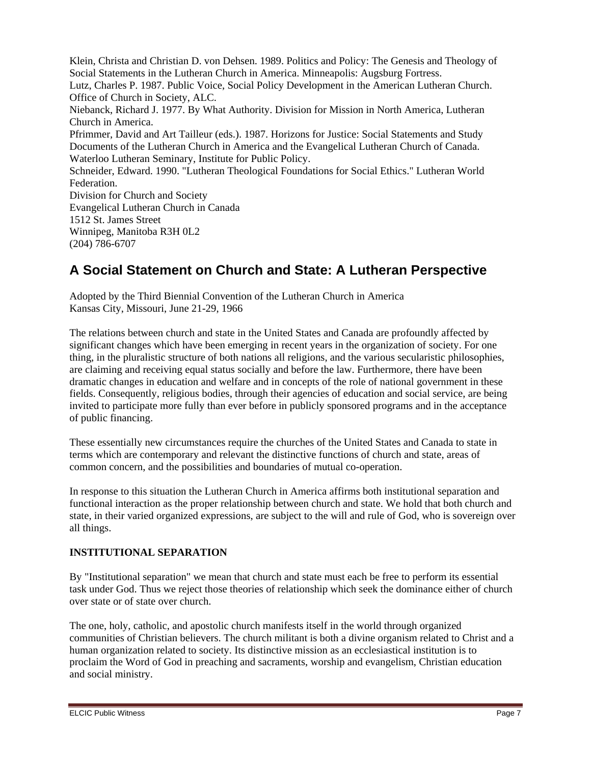Klein, Christa and Christian D. von Dehsen. 1989. Politics and Policy: The Genesis and Theology of Social Statements in the Lutheran Church in America. Minneapolis: Augsburg Fortress. Lutz, Charles P. 1987. Public Voice, Social Policy Development in the American Lutheran Church. Office of Church in Society, ALC. Niebanck, Richard J. 1977. By What Authority. Division for Mission in North America, Lutheran Church in America. Pfrimmer, David and Art Tailleur (eds.). 1987. Horizons for Justice: Social Statements and Study Documents of the Lutheran Church in America and the Evangelical Lutheran Church of Canada. Waterloo Lutheran Seminary, Institute for Public Policy. Schneider, Edward. 1990. "Lutheran Theological Foundations for Social Ethics." Lutheran World Federation. Division for Church and Society Evangelical Lutheran Church in Canada 1512 St. James Street Winnipeg, Manitoba R3H 0L2 (204) 786-6707

# **A Social Statement on Church and State: A Lutheran Perspective**

Adopted by the Third Biennial Convention of the Lutheran Church in America Kansas City, Missouri, June 21-29, 1966

The relations between church and state in the United States and Canada are profoundly affected by significant changes which have been emerging in recent years in the organization of society. For one thing, in the pluralistic structure of both nations all religions, and the various secularistic philosophies, are claiming and receiving equal status socially and before the law. Furthermore, there have been dramatic changes in education and welfare and in concepts of the role of national government in these fields. Consequently, religious bodies, through their agencies of education and social service, are being invited to participate more fully than ever before in publicly sponsored programs and in the acceptance of public financing.

These essentially new circumstances require the churches of the United States and Canada to state in terms which are contemporary and relevant the distinctive functions of church and state, areas of common concern, and the possibilities and boundaries of mutual co-operation.

In response to this situation the Lutheran Church in America affirms both institutional separation and functional interaction as the proper relationship between church and state. We hold that both church and state, in their varied organized expressions, are subject to the will and rule of God, who is sovereign over all things.

# **INSTITUTIONAL SEPARATION**

By "Institutional separation" we mean that church and state must each be free to perform its essential task under God. Thus we reject those theories of relationship which seek the dominance either of church over state or of state over church.

The one, holy, catholic, and apostolic church manifests itself in the world through organized communities of Christian believers. The church militant is both a divine organism related to Christ and a human organization related to society. Its distinctive mission as an ecclesiastical institution is to proclaim the Word of God in preaching and sacraments, worship and evangelism, Christian education and social ministry.